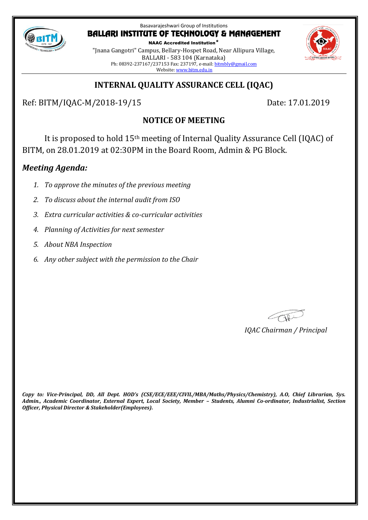

NAAC Accredited Institution\* "Jnana Gangotri" Campus, Bellary-Hospet Road, Near Allipura Village, BALLARI - 583 104 (Karnataka) Ph: 08392-237167/237153 Fax: 237197, e-mail[: bitmbly@gmail.com](mailto:bitmbly@gmail.com) Website[: www.bitm.edu.in](http://www.bec-bellary.com/)

# **INTERNAL QUALITY ASSURANCE CELL (IQAC)**

Ref: BITM/IQAC-M/2018-19/15 Date: 17.01.2019

# **NOTICE OF MEETING**

It is proposed to hold 15th meeting of Internal Quality Assurance Cell (IQAC) of BITM, on 28.01.2019 at 02:30PM in the Board Room, Admin & PG Block.

## *Meeting Agenda:*

- *1. To approve the minutes of the previous meeting*
- *2. To discuss about the internal audit from ISO*
- *3. Extra curricular activities & co-curricular activities*
- *4. Planning of Activities for next semester*
- *5. About NBA Inspection*
- *6. Any other subject with the permission to the Chair*

COR

*IQAC Chairman / Principal*

*Copy to: Vice-Principal, DD, All Dept. HOD's (CSE/ECE/EEE/CIVIL/MBA/Maths/Physics/Chemistry), A.O, Chief Librarian, Sys. Admin., Academic Coordinator, External Expert, Local Society, Member – Students, Alumni Co-ordinator, Industrialist, Section Officer, Physical Director & Stakeholder(Employees).*

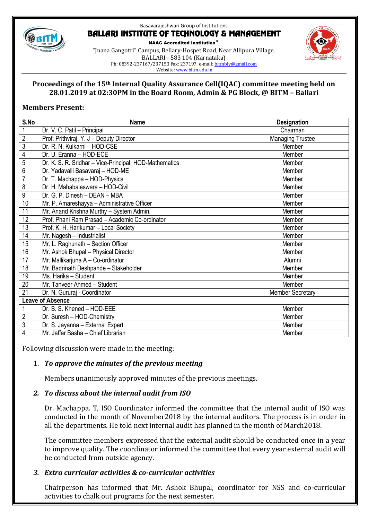

NAAC Accredited Institution\*

"Jnana Gangotri" Campus, Bellary-Hospet Road, Near Allipura Village, BALLARI - 583 104 (Karnataka) Ph: 08392-237167/237153 Fax: 237197, e-mail[: bitmbly@gmail.com](mailto:bitmbly@gmail.com) Website[: www.bitm.edu.in](http://www.bec-bellary.com/)



### **Proceedings of the 15th Internal Quality Assurance Cell(IQAC) committee meeting held on 28.01.2019 at 02:30PM in the Board Room, Admin & PG Block, @ BITM – Ballari**

## **Members Present:**

| S.No                    | <b>Name</b>                                            | <b>Designation</b>      |
|-------------------------|--------------------------------------------------------|-------------------------|
| 1                       | Dr. V. C. Patil - Principal                            | Chairman                |
| $\overline{c}$          | Prof. Prithviraj. Y. J - Deputy Director               | <b>Managing Trustee</b> |
| $\overline{3}$          | Dr. R. N. Kulkarni - HOD-CSE                           | Member                  |
| $\overline{4}$          | Dr. U. Eranna - HOD-ECE                                | Member                  |
| 5                       | Dr. K. S. R. Sridhar - Vice-Principal, HOD-Mathematics | Member                  |
| $\overline{6}$          | Dr. Yadavalli Basavaraj - HOD-ME                       | Member                  |
| $\overline{7}$          | Dr. T. Machappa - HOD-Physics                          | Member                  |
| $\overline{8}$          | Dr. H. Mahabaleswara - HOD-Civil                       | Member                  |
| $\overline{9}$          | Dr. G. P. Dinesh - DEAN - MBA                          | Member                  |
| 10                      | Mr. P. Amareshayya - Administrative Officer            | Member                  |
| 11                      | Mr. Anand Krishna Murthy - System Admin.               | Member                  |
| $\overline{12}$         | Prof. Phani Ram Prasad - Academic Co-ordinator         | Member                  |
| 13                      | Prof. K. H. Harikumar - Local Society                  | Member                  |
| 14                      | Mr. Nagesh - Industrialist                             | Member                  |
| 15                      | Mr. L. Raghunath - Section Officer                     | Member                  |
| 16                      | Mr. Ashok Bhupal - Physical Director                   | Member                  |
| 17                      | Mr. Mallikarjuna A - Co-ordinator                      | Alumni                  |
| 18                      | Mr. Badrinath Deshpande - Stakeholder                  | Member                  |
| 19                      | Ms. Harika - Student                                   | Member                  |
| 20                      | Mr. Tanveer Ahmed - Student                            | Member                  |
| 21                      | Dr. N. Gururaj - Coordinator                           | <b>Member Secretary</b> |
| <b>Leave of Absence</b> |                                                        |                         |
|                         | Dr. B. S. Khened - HOD-EEE                             | Member                  |
| $\overline{2}$          | Dr. Suresh - HOD-Chemistry                             | Member                  |
| $\overline{3}$          | Dr. S. Jayanna - External Expert                       | Member                  |
| $\overline{\mathbf{4}}$ | Mr. Jaffar Basha - Chief Librarian                     | Member                  |

Following discussion were made in the meeting:

## 1. *To approve the minutes of the previous meeting*

Members unanimously approved minutes of the previous meetings.

## *2. To discuss about the internal audit from ISO*

Dr. Machappa. T, ISO Coordinator informed the committee that the internal audit of ISO was conducted in the month of November2018 by the internal auditors. The process is in order in all the departments. He told next internal audit has planned in the month of March2018.

The committee members expressed that the external audit should be conducted once in a year to improve quality. The coordinator informed the committee that every year external audit will be conducted from outside agency.

## *3. Extra curricular activities & co-curricular activities*

Chairperson has informed that Mr. Ashok Bhupal, coordinator for NSS and co-curricular activities to chalk out programs for the next semester.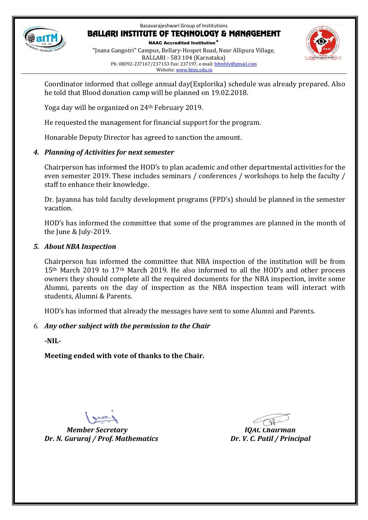

NAAC Accredited Institution\* "Jnana Gangotri" Campus, Bellary-Hospet Road, Near Allipura Village, BALLARI - 583 104 (Karnataka) Ph: 08392-237167/237153 Fax: 237197, e-mail[: bitmbly@gmail.com](mailto:bitmbly@gmail.com) Website[: www.bitm.edu.in](http://www.bec-bellary.com/)



Coordinator informed that college annual day(Explorika) schedule was already prepared. Also he told that Blood donation camp will be planned on 19.02.2018.

Yoga day will be organized on 24th February 2019.

He requested the management for financial support for the program.

Honarable Deputy Director has agreed to sanction the amount.

## *4. Planning of Activities for next semester*

Chairperson has informed the HOD's to plan academic and other departmental activities for the even semester 2019. These includes seminars / conferences / workshops to help the faculty / staff to enhance their knowledge.

Dr. Jayanna has told faculty development programs (FPD's) should be planned in the semester vacation.

HOD's has informed the committee that some of the programmes are planned in the month of the June & July-2019.

## *5. About NBA Inspection*

Chairperson has informed the committee that NBA inspection of the institution will be from 15<sup>th</sup> March 2019 to 17<sup>th</sup> March 2019. He also informed to all the HOD's and other process owners they should complete all the required documents for the NBA inspection, invite some Alumni, parents on the day of inspection as the NBA inspection team will interact with students, Alumni & Parents.

HOD's has informed that already the messages have sent to some Alumni and Parents.

## *6. Any other subject with the permission to the Chair*

**-NIL-**

**Meeting ended with vote of thanks to the Chair.**

*Member Secretary IQAC Chairman Dr. N. Gururaj / Prof. Mathematics Dr. V. C. Patil / Principal*